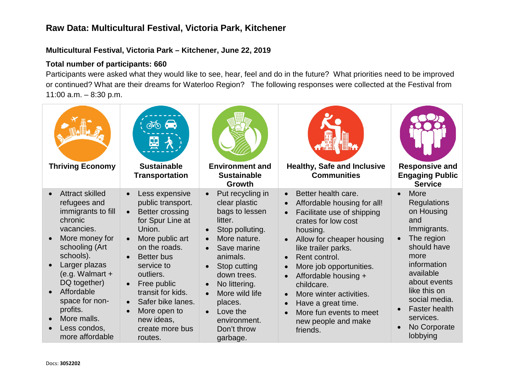#### **Multicultural Festival, Victoria Park – Kitchener, June 22, 2019**

#### **Total number of participants: 660**

Participants were asked what they would like to see, hear, feel and do in the future? What priorities need to be improved or continued? What are their dreams for Waterloo Region? The following responses were collected at the Festival from 11:00 a.m. – 8:30 p.m.

| <b>Thriving Economy</b>                                                                                                                                                                                                                                                                    | $\frac{1}{2}$<br><b>Sustainable</b><br><b>Transportation</b>                                                                                                                                                                                                                                  | <b>Environment and</b><br><b>Sustainable</b><br>Growth                                                                                                                                                                                                           | <b>Healthy, Safe and Inclusive</b><br><b>Communities</b>                                                                                                                                                                                                                                                                                                                                                                                               | <b>Responsive and</b><br><b>Engaging Public</b><br><b>Service</b>                                                                                                                                                                                              |
|--------------------------------------------------------------------------------------------------------------------------------------------------------------------------------------------------------------------------------------------------------------------------------------------|-----------------------------------------------------------------------------------------------------------------------------------------------------------------------------------------------------------------------------------------------------------------------------------------------|------------------------------------------------------------------------------------------------------------------------------------------------------------------------------------------------------------------------------------------------------------------|--------------------------------------------------------------------------------------------------------------------------------------------------------------------------------------------------------------------------------------------------------------------------------------------------------------------------------------------------------------------------------------------------------------------------------------------------------|----------------------------------------------------------------------------------------------------------------------------------------------------------------------------------------------------------------------------------------------------------------|
| <b>Attract skilled</b><br>refugees and<br>immigrants to fill<br>chronic<br>vacancies.<br>More money for<br>schooling (Art<br>schools).<br>Larger plazas<br>(e.g. Walmart $+$<br>DQ together)<br>Affordable<br>space for non-<br>profits.<br>More malls.<br>Less condos,<br>more affordable | Less expensive<br>public transport.<br>Better crossing<br>for Spur Line at<br>Union.<br>More public art<br>on the roads.<br><b>Better</b> bus<br>service to<br>outliers.<br>Free public<br>transit for kids.<br>Safer bike lanes.<br>More open to<br>new ideas,<br>create more bus<br>routes. | Put recycling in<br>clear plastic<br>bags to lessen<br>litter.<br>Stop polluting.<br>More nature.<br>Save marine<br>animals.<br>Stop cutting<br>down trees.<br>No littering.<br>More wild life<br>places.<br>Love the<br>environment.<br>Don't throw<br>garbage. | Better health care.<br>$\bullet$<br>Affordable housing for all!<br>Facilitate use of shipping<br>crates for low cost<br>housing.<br>Allow for cheaper housing<br>$\bullet$<br>like trailer parks.<br>Rent control.<br>$\bullet$<br>More job opportunities.<br>Affordable housing +<br>childcare.<br>More winter activities.<br>$\bullet$<br>Have a great time.<br>$\bullet$<br>More fun events to meet<br>$\bullet$<br>new people and make<br>friends. | More<br>$\bullet$<br><b>Regulations</b><br>on Housing<br>and<br>Immigrants.<br>The region<br>should have<br>more<br>information<br>available<br>about events<br>like this on<br>social media.<br><b>Faster health</b><br>services.<br>No Corporate<br>lobbying |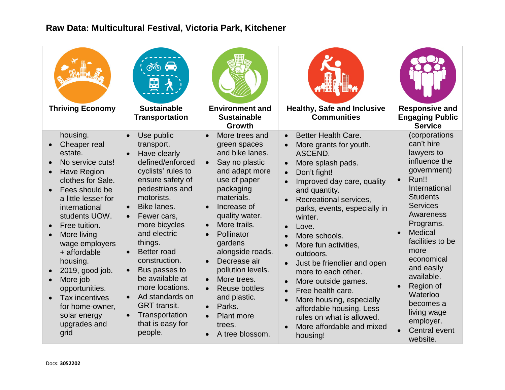| <b>Thriving Economy</b>                                                                                                                                                                                                                                                                                                                                                                   | $\phi$ $\phi$<br>图<br><b>Sustainable</b><br><b>Transportation</b>                                                                                                                                                                                                                                                                                                                                          | <b>Environment and</b><br><b>Sustainable</b><br>Growth                                                                                                                                                                                                                                                                                                                                                                                                                                                      | <b>Healthy, Safe and Inclusive</b><br><b>Communities</b>                                                                                                                                                                                                                                                                                                                                                                                                                                                                                                                                                                                                                                         | <b>Responsive and</b><br><b>Engaging Public</b><br><b>Service</b>                                                                                                                                                                                                                                                                                                       |
|-------------------------------------------------------------------------------------------------------------------------------------------------------------------------------------------------------------------------------------------------------------------------------------------------------------------------------------------------------------------------------------------|------------------------------------------------------------------------------------------------------------------------------------------------------------------------------------------------------------------------------------------------------------------------------------------------------------------------------------------------------------------------------------------------------------|-------------------------------------------------------------------------------------------------------------------------------------------------------------------------------------------------------------------------------------------------------------------------------------------------------------------------------------------------------------------------------------------------------------------------------------------------------------------------------------------------------------|--------------------------------------------------------------------------------------------------------------------------------------------------------------------------------------------------------------------------------------------------------------------------------------------------------------------------------------------------------------------------------------------------------------------------------------------------------------------------------------------------------------------------------------------------------------------------------------------------------------------------------------------------------------------------------------------------|-------------------------------------------------------------------------------------------------------------------------------------------------------------------------------------------------------------------------------------------------------------------------------------------------------------------------------------------------------------------------|
| housing.<br>Cheaper real<br>estate.<br>No service cuts!<br><b>Have Region</b><br>clothes for Sale.<br>Fees should be<br>a little lesser for<br>international<br>students UOW.<br>Free tuition.<br>More living<br>wage employers<br>+ affordable<br>housing.<br>2019, good job.<br>More job<br>opportunities.<br>Tax incentives<br>for home-owner,<br>solar energy<br>upgrades and<br>grid | Use public<br>transport.<br>Have clearly<br>defined/enforced<br>cyclists' rules to<br>ensure safety of<br>pedestrians and<br>motorists.<br>Bike lanes.<br>Fewer cars,<br>more bicycles<br>and electric<br>things.<br><b>Better road</b><br>construction.<br>Bus passes to<br>be available at<br>more locations.<br>Ad standards on<br><b>GRT</b> transit.<br>Transportation<br>that is easy for<br>people. | More trees and<br>$\bullet$<br>green spaces<br>and bike lanes.<br>Say no plastic<br>$\bullet$<br>and adapt more<br>use of paper<br>packaging<br>materials.<br>Increase of<br>$\bullet$<br>quality water.<br>More trails.<br>$\bullet$<br>Pollinator<br>$\bullet$<br>gardens<br>alongside roads.<br>Decrease air<br>$\bullet$<br>pollution levels.<br>More trees.<br>$\bullet$<br><b>Reuse bottles</b><br>and plastic.<br>Parks.<br>$\bullet$<br><b>Plant more</b><br>trees.<br>A tree blossom.<br>$\bullet$ | <b>Better Health Care.</b><br>$\bullet$<br>More grants for youth.<br>ASCEND.<br>More splash pads.<br>$\bullet$<br>Don't fight!<br>$\bullet$<br>Improved day care, quality<br>$\bullet$<br>and quantity.<br>Recreational services,<br>$\bullet$<br>parks, events, especially in<br>winter.<br>Love.<br>$\bullet$<br>More schools.<br>$\bullet$<br>More fun activities,<br>$\bullet$<br>outdoors.<br>Just be friendlier and open<br>$\bullet$<br>more to each other.<br>More outside games.<br>$\bullet$<br>Free health care.<br>$\bullet$<br>More housing, especially<br>$\bullet$<br>affordable housing. Less<br>rules on what is allowed.<br>More affordable and mixed<br>$\bullet$<br>housing! | (corporations<br>can't hire<br>lawyers to<br>influence the<br>government)<br>Run!!<br>$\bullet$<br>International<br><b>Students</b><br><b>Services</b><br>Awareness<br>Programs.<br><b>Medical</b><br>facilities to be<br>more<br>economical<br>and easily<br>available.<br>Region of<br>Waterloo<br>becomes a<br>living wage<br>employer.<br>Central event<br>website. |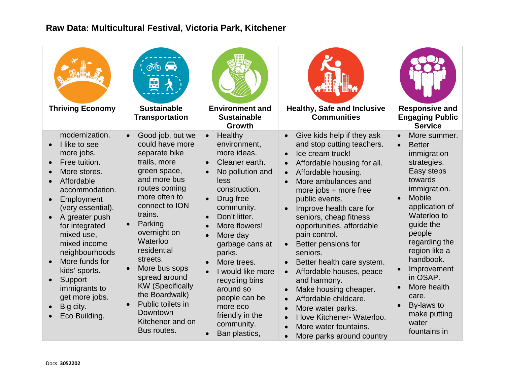| <b>Thriving Economy</b>                                                                                                                                                                                                                                                                                                                              | $\phi$ $\phi$<br>떻<br><b>Sustainable</b><br><b>Transportation</b>                                                                                                                                                                                                                                                                                                                        | <b>Environment and</b><br><b>Sustainable</b><br><b>Growth</b>                                                                                                                                                                                                                                                                                                                                                                               | <b>Healthy, Safe and Inclusive</b><br><b>Communities</b>                                                                                                                                                                                                                                                                                                                                                                                                                                                                                                                                                                                                                                                                                                               | <b>Responsive and</b><br><b>Engaging Public</b><br><b>Service</b>                                                                                                                                                                                                                                                                            |
|------------------------------------------------------------------------------------------------------------------------------------------------------------------------------------------------------------------------------------------------------------------------------------------------------------------------------------------------------|------------------------------------------------------------------------------------------------------------------------------------------------------------------------------------------------------------------------------------------------------------------------------------------------------------------------------------------------------------------------------------------|---------------------------------------------------------------------------------------------------------------------------------------------------------------------------------------------------------------------------------------------------------------------------------------------------------------------------------------------------------------------------------------------------------------------------------------------|------------------------------------------------------------------------------------------------------------------------------------------------------------------------------------------------------------------------------------------------------------------------------------------------------------------------------------------------------------------------------------------------------------------------------------------------------------------------------------------------------------------------------------------------------------------------------------------------------------------------------------------------------------------------------------------------------------------------------------------------------------------------|----------------------------------------------------------------------------------------------------------------------------------------------------------------------------------------------------------------------------------------------------------------------------------------------------------------------------------------------|
| modernization.<br>I like to see<br>more jobs.<br>Free tuition.<br>More stores.<br>Affordable<br>accommodation.<br>Employment<br>(very essential).<br>A greater push<br>for integrated<br>mixed use,<br>mixed income<br>neighbourhoods<br>More funds for<br>kids' sports.<br>Support<br>immigrants to<br>get more jobs.<br>Big city.<br>Eco Building. | Good job, but we<br>could have more<br>separate bike<br>trails, more<br>green space,<br>and more bus<br>routes coming<br>more often to<br>connect to ION<br>trains.<br>Parking<br>overnight on<br>Waterloo<br>residential<br>streets.<br>More bus sops<br>spread around<br><b>KW</b> (Specifically<br>the Boardwalk)<br>Public toilets in<br>Downtown<br>Kitchener and on<br>Bus routes. | Healthy<br>$\bullet$<br>environment,<br>more ideas.<br>Cleaner earth.<br>No pollution and<br>$\bullet$<br>less<br>construction.<br>Drug free<br>$\bullet$<br>community.<br>Don't litter.<br>$\bullet$<br>More flowers!<br>More day<br>$\bullet$<br>garbage cans at<br>parks.<br>More trees.<br>I would like more<br>$\bullet$<br>recycling bins<br>around so<br>people can be<br>more eco<br>friendly in the<br>community.<br>Ban plastics, | Give kids help if they ask<br>$\bullet$<br>and stop cutting teachers.<br>Ice cream truck!<br>$\bullet$<br>Affordable housing for all.<br>$\bullet$<br>Affordable housing.<br>$\bullet$<br>More ambulances and<br>$\bullet$<br>more jobs + more free<br>public events.<br>Improve health care for<br>$\bullet$<br>seniors, cheap fitness<br>opportunities, affordable<br>pain control.<br>Better pensions for<br>$\bullet$<br>seniors.<br>Better health care system.<br>Affordable houses, peace<br>$\bullet$<br>and harmony.<br>Make housing cheaper.<br>$\bullet$<br>Affordable childcare.<br>$\bullet$<br>More water parks.<br>$\bullet$<br>I love Kitchener- Waterloo.<br>$\bullet$<br>More water fountains.<br>$\bullet$<br>More parks around country<br>$\bullet$ | More summer.<br><b>Better</b><br>immigration<br>strategies.<br>Easy steps<br>towards<br>immigration.<br>Mobile<br>$\bullet$<br>application of<br>Waterloo to<br>guide the<br>people<br>regarding the<br>region like a<br>handbook.<br>Improvement<br>in OSAP.<br>More health<br>care.<br>By-laws to<br>make putting<br>water<br>fountains in |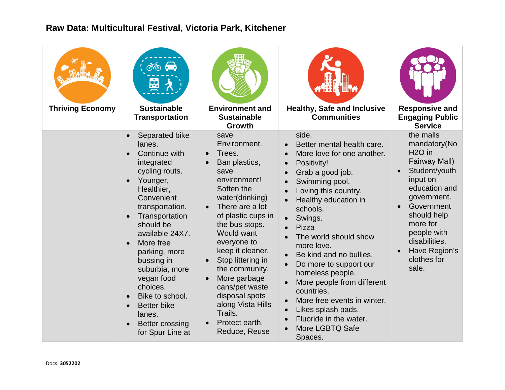| <b>Thriving Economy</b> | $\phi$ $\phi$<br>函<br><b>Sustainable</b><br><b>Transportation</b>                                                                                                                                                                                                                                                                                                               | <b>Environment and</b><br><b>Sustainable</b><br>Growth                                                                                                                                                                                                                                                                                                                                                                    | <b>Healthy, Safe and Inclusive</b><br><b>Communities</b>                                                                                                                                                                                                                                                                                                                                                                                                                                                                                                                                                          | <b>Responsive and</b><br><b>Engaging Public</b><br><b>Service</b>                                                                                                                                                                                |
|-------------------------|---------------------------------------------------------------------------------------------------------------------------------------------------------------------------------------------------------------------------------------------------------------------------------------------------------------------------------------------------------------------------------|---------------------------------------------------------------------------------------------------------------------------------------------------------------------------------------------------------------------------------------------------------------------------------------------------------------------------------------------------------------------------------------------------------------------------|-------------------------------------------------------------------------------------------------------------------------------------------------------------------------------------------------------------------------------------------------------------------------------------------------------------------------------------------------------------------------------------------------------------------------------------------------------------------------------------------------------------------------------------------------------------------------------------------------------------------|--------------------------------------------------------------------------------------------------------------------------------------------------------------------------------------------------------------------------------------------------|
|                         | Separated bike<br>lanes.<br>Continue with<br>integrated<br>cycling routs.<br>Younger,<br>Healthier,<br>Convenient<br>transportation.<br>Transportation<br>should be<br>available 24X7.<br>More free<br>parking, more<br>bussing in<br>suburbia, more<br>vegan food<br>choices.<br>Bike to school.<br><b>Better bike</b><br>lanes.<br><b>Better crossing</b><br>for Spur Line at | save<br>Environment.<br>Trees.<br>$\bullet$<br>Ban plastics,<br>$\bullet$<br>save<br>environment!<br>Soften the<br>water(drinking)<br>There are a lot<br>of plastic cups in<br>the bus stops.<br>Would want<br>everyone to<br>keep it cleaner.<br>Stop littering in<br>$\bullet$<br>the community.<br>More garbage<br>cans/pet waste<br>disposal spots<br>along Vista Hills<br>Trails.<br>Protect earth.<br>Reduce, Reuse | side.<br>Better mental health care.<br>More love for one another.<br>$\bullet$<br>Positivity!<br>$\bullet$<br>Grab a good job.<br>$\bullet$<br>Swimming pool.<br>$\bullet$<br>Loving this country.<br>Healthy education in<br>schools.<br>Swings.<br>Pizza<br>The world should show<br>$\bullet$<br>more love.<br>Be kind and no bullies.<br>$\bullet$<br>Do more to support our<br>$\bullet$<br>homeless people.<br>More people from different<br>$\bullet$<br>countries.<br>More free events in winter.<br>$\bullet$<br>Likes splash pads.<br>$\bullet$<br>Fluoride in the water.<br>More LGBTQ Safe<br>Spaces. | the malls<br>mandatory(No<br>H <sub>2</sub> O in<br>Fairway Mall)<br>Student/youth<br>input on<br>education and<br>government.<br>Government<br>should help<br>more for<br>people with<br>disabilities.<br>Have Region's<br>clothes for<br>sale. |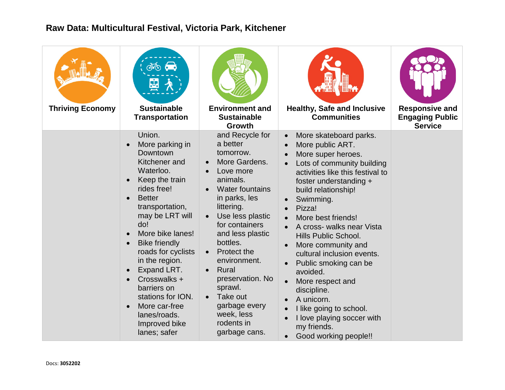| <b>Thriving Economy</b> | $\phi$ $\phi$<br>嵒<br><b>Sustainable</b><br><b>Transportation</b>                                                                                                                                                                                                                                                                                                                           | <b>Environment and</b><br><b>Sustainable</b><br><b>Growth</b>                                                                                                                                                                                                                                                                                                                                | <b>Healthy, Safe and Inclusive</b><br><b>Communities</b>                                                                                                                                                                                                                                                                                                                                                                                                                                                                                                                                                       | <b>Responsive and</b><br><b>Engaging Public</b><br><b>Service</b> |
|-------------------------|---------------------------------------------------------------------------------------------------------------------------------------------------------------------------------------------------------------------------------------------------------------------------------------------------------------------------------------------------------------------------------------------|----------------------------------------------------------------------------------------------------------------------------------------------------------------------------------------------------------------------------------------------------------------------------------------------------------------------------------------------------------------------------------------------|----------------------------------------------------------------------------------------------------------------------------------------------------------------------------------------------------------------------------------------------------------------------------------------------------------------------------------------------------------------------------------------------------------------------------------------------------------------------------------------------------------------------------------------------------------------------------------------------------------------|-------------------------------------------------------------------|
|                         | Union.<br>More parking in<br>Downtown<br>Kitchener and<br>Waterloo.<br>Keep the train<br>rides free!<br><b>Better</b><br>transportation,<br>may be LRT will<br>do!<br>More bike lanes!<br><b>Bike friendly</b><br>roads for cyclists<br>in the region.<br>Expand LRT.<br>Crosswalks +<br>barriers on<br>stations for ION.<br>More car-free<br>lanes/roads.<br>Improved bike<br>lanes; safer | and Recycle for<br>a better<br>tomorrow.<br>More Gardens.<br>Love more<br>animals.<br><b>Water fountains</b><br>in parks, les<br>littering.<br>Use less plastic<br>for containers<br>and less plastic<br>bottles.<br>Protect the<br>$\bullet$<br>environment.<br>Rural<br>preservation. No<br>sprawl.<br>Take out<br>$\bullet$<br>garbage every<br>week, less<br>rodents in<br>garbage cans. | More skateboard parks.<br>$\bullet$<br>More public ART.<br>More super heroes.<br>Lots of community building<br>activities like this festival to<br>foster understanding +<br>build relationship!<br>Swimming.<br>Pizza!<br>More best friends!<br>$\bullet$<br>A cross- walks near Vista<br>Hills Public School.<br>More community and<br>$\bullet$<br>cultural inclusion events.<br>Public smoking can be<br>$\bullet$<br>avoided.<br>More respect and<br>$\bullet$<br>discipline.<br>A unicorn.<br>I like going to school.<br>I love playing soccer with<br>my friends.<br>Good working people!!<br>$\bullet$ |                                                                   |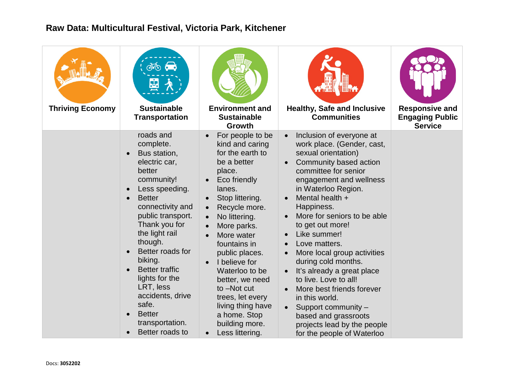| <b>Thriving Economy</b> | <b>JO</b><br>Ľ<br><b>Sustainable</b><br><b>Transportation</b>                                                                                                                                                                                                                                                                                                                        | <b>Environment and</b><br><b>Sustainable</b><br>Growth                                                                                                                                                                                                                                                                                                                                                                                                                                       | <b>Healthy, Safe and Inclusive</b><br><b>Communities</b>                                                                                                                                                                                                                                                                                                                                                                                                                                                                                                                                                                           | <b>Responsive and</b><br><b>Engaging Public</b><br><b>Service</b> |
|-------------------------|--------------------------------------------------------------------------------------------------------------------------------------------------------------------------------------------------------------------------------------------------------------------------------------------------------------------------------------------------------------------------------------|----------------------------------------------------------------------------------------------------------------------------------------------------------------------------------------------------------------------------------------------------------------------------------------------------------------------------------------------------------------------------------------------------------------------------------------------------------------------------------------------|------------------------------------------------------------------------------------------------------------------------------------------------------------------------------------------------------------------------------------------------------------------------------------------------------------------------------------------------------------------------------------------------------------------------------------------------------------------------------------------------------------------------------------------------------------------------------------------------------------------------------------|-------------------------------------------------------------------|
|                         | roads and<br>complete.<br>Bus station,<br>electric car,<br>better<br>community!<br>Less speeding.<br><b>Better</b><br>connectivity and<br>public transport.<br>Thank you for<br>the light rail<br>though.<br>Better roads for<br>biking.<br><b>Better traffic</b><br>lights for the<br>LRT, less<br>accidents, drive<br>safe.<br><b>Better</b><br>transportation.<br>Better roads to | For people to be<br>$\bullet$<br>kind and caring<br>for the earth to<br>be a better<br>place.<br>Eco friendly<br>$\bullet$<br>lanes.<br>Stop littering.<br>Recycle more.<br>$\bullet$<br>No littering.<br>$\bullet$<br>More parks.<br>More water<br>$\bullet$<br>fountains in<br>public places.<br>I believe for<br>$\bullet$<br>Waterloo to be<br>better, we need<br>to -Not cut<br>trees, let every<br>living thing have<br>a home. Stop<br>building more.<br>Less littering.<br>$\bullet$ | Inclusion of everyone at<br>$\bullet$<br>work place. (Gender, cast,<br>sexual orientation)<br>Community based action<br>committee for senior<br>engagement and wellness<br>in Waterloo Region.<br>Mental health +<br>Happiness.<br>More for seniors to be able<br>to get out more!<br>Like summer!<br>$\bullet$<br>Love matters.<br>$\bullet$<br>More local group activities<br>during cold months.<br>It's already a great place<br>to live. Love to all!<br>More best friends forever<br>in this world.<br>Support community -<br>$\bullet$<br>based and grassroots<br>projects lead by the people<br>for the people of Waterloo |                                                                   |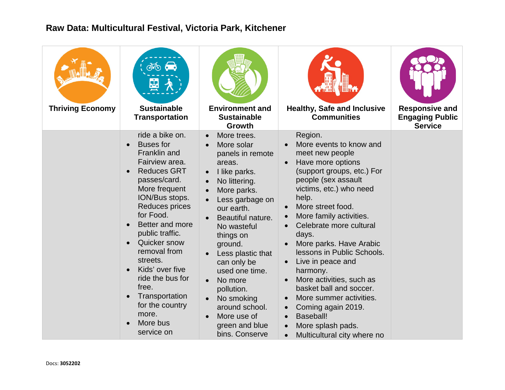| <b>Thriving Economy</b> | $\phi$ $\phi$<br>嵒<br><b>Sustainable</b><br><b>Transportation</b>                                                                                                                                                                                                                                                                                                                       | <b>Environment and</b><br><b>Sustainable</b><br>Growth                                                                                                                                                                                                                                                                                                                                                                                                | <b>Healthy, Safe and Inclusive</b><br><b>Communities</b>                                                                                                                                                                                                                                                                                                                                                                                                                                                                                                                                                        | <b>Responsive and</b><br><b>Engaging Public</b><br><b>Service</b> |
|-------------------------|-----------------------------------------------------------------------------------------------------------------------------------------------------------------------------------------------------------------------------------------------------------------------------------------------------------------------------------------------------------------------------------------|-------------------------------------------------------------------------------------------------------------------------------------------------------------------------------------------------------------------------------------------------------------------------------------------------------------------------------------------------------------------------------------------------------------------------------------------------------|-----------------------------------------------------------------------------------------------------------------------------------------------------------------------------------------------------------------------------------------------------------------------------------------------------------------------------------------------------------------------------------------------------------------------------------------------------------------------------------------------------------------------------------------------------------------------------------------------------------------|-------------------------------------------------------------------|
|                         | ride a bike on.<br><b>Buses</b> for<br>Franklin and<br>Fairview area.<br><b>Reduces GRT</b><br>passes/card.<br>More frequent<br>ION/Bus stops.<br>Reduces prices<br>for Food.<br>Better and more<br>public traffic.<br>Quicker snow<br>removal from<br>streets.<br>Kids' over five<br>ride the bus for<br>free.<br>Transportation<br>for the country<br>more.<br>More bus<br>service on | More trees.<br>$\bullet$<br>More solar<br>$\bullet$<br>panels in remote<br>areas.<br>I like parks.<br>$\bullet$<br>No littering.<br>$\bullet$<br>More parks.<br>Less garbage on<br>our earth.<br>Beautiful nature.<br>No wasteful<br>things on<br>ground.<br>Less plastic that<br>can only be<br>used one time.<br>No more<br>$\bullet$<br>pollution.<br>No smoking<br>$\bullet$<br>around school.<br>More use of<br>green and blue<br>bins. Conserve | Region.<br>More events to know and<br>meet new people<br>Have more options<br>(support groups, etc.) For<br>people (sex assault<br>victims, etc.) who need<br>help.<br>More street food.<br>$\bullet$<br>More family activities.<br>$\bullet$<br>Celebrate more cultural<br>days.<br>More parks. Have Arabic<br>lessons in Public Schools.<br>Live in peace and<br>harmony.<br>More activities, such as<br>$\bullet$<br>basket ball and soccer.<br>More summer activities.<br>$\bullet$<br>Coming again 2019.<br>$\bullet$<br><b>Baseball!</b><br>More splash pads.<br>Multicultural city where no<br>$\bullet$ |                                                                   |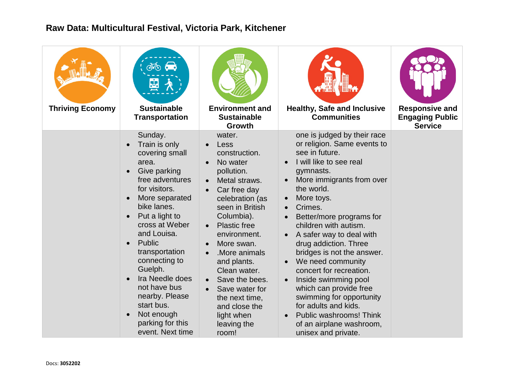| <b>Thriving Economy</b> | இல் வெ<br><b>Sustainable</b><br><b>Transportation</b>                                                                                                                                                                                                                                                                                                                                     | <b>Environment and</b><br><b>Sustainable</b><br>Growth                                                                                                                                                                                                                                                                                                                                                  | <b>Healthy, Safe and Inclusive</b><br><b>Communities</b>                                                                                                                                                                                                                                                                                                                                                                                                                                                                                                                                                                 | <b>Responsive and</b><br><b>Engaging Public</b><br><b>Service</b> |
|-------------------------|-------------------------------------------------------------------------------------------------------------------------------------------------------------------------------------------------------------------------------------------------------------------------------------------------------------------------------------------------------------------------------------------|---------------------------------------------------------------------------------------------------------------------------------------------------------------------------------------------------------------------------------------------------------------------------------------------------------------------------------------------------------------------------------------------------------|--------------------------------------------------------------------------------------------------------------------------------------------------------------------------------------------------------------------------------------------------------------------------------------------------------------------------------------------------------------------------------------------------------------------------------------------------------------------------------------------------------------------------------------------------------------------------------------------------------------------------|-------------------------------------------------------------------|
|                         | Sunday.<br>Train is only<br>covering small<br>area.<br>Give parking<br>free adventures<br>for visitors.<br>More separated<br>bike lanes.<br>Put a light to<br>cross at Weber<br>and Louisa.<br>Public<br>$\bullet$<br>transportation<br>connecting to<br>Guelph.<br>Ira Needle does<br>not have bus<br>nearby. Please<br>start bus.<br>Not enough<br>parking for this<br>event. Next time | water.<br>Less<br>$\bullet$<br>construction.<br>No water<br>pollution.<br>Metal straws.<br>$\bullet$<br>Car free day<br>celebration (as<br>seen in British<br>Columbia).<br><b>Plastic free</b><br>$\bullet$<br>environment.<br>More swan.<br>More animals.<br>and plants.<br>Clean water.<br>Save the bees.<br>Save water for<br>the next time,<br>and close the<br>light when<br>leaving the<br>room! | one is judged by their race<br>or religion. Same events to<br>see in future.<br>I will like to see real<br>gymnasts.<br>More immigrants from over<br>the world.<br>More toys.<br>$\bullet$<br>Crimes.<br>$\bullet$<br>Better/more programs for<br>children with autism.<br>A safer way to deal with<br>drug addiction. Three<br>bridges is not the answer.<br>We need community<br>$\bullet$<br>concert for recreation.<br>Inside swimming pool<br>which can provide free<br>swimming for opportunity<br>for adults and kids.<br>Public washrooms! Think<br>$\bullet$<br>of an airplane washroom,<br>unisex and private. |                                                                   |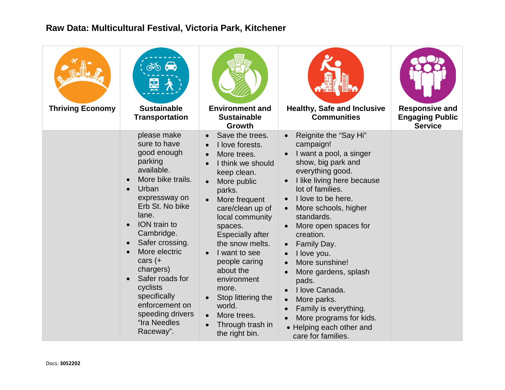| <b>Thriving Economy</b> | $\phi$ $\leftrightarrow$<br>嵒<br><b>Sustainable</b><br><b>Transportation</b>                                                                                                                                                                                                                                                                                 | <b>Environment and</b><br><b>Sustainable</b><br><b>Growth</b>                                                                                                                                                                                                                                                                                                                                                                                   | <b>Healthy, Safe and Inclusive</b><br><b>Communities</b>                                                                                                                                                                                                                                                                                                                                                                                                                                                                                                                      | <b>Responsive and</b><br><b>Engaging Public</b><br><b>Service</b> |
|-------------------------|--------------------------------------------------------------------------------------------------------------------------------------------------------------------------------------------------------------------------------------------------------------------------------------------------------------------------------------------------------------|-------------------------------------------------------------------------------------------------------------------------------------------------------------------------------------------------------------------------------------------------------------------------------------------------------------------------------------------------------------------------------------------------------------------------------------------------|-------------------------------------------------------------------------------------------------------------------------------------------------------------------------------------------------------------------------------------------------------------------------------------------------------------------------------------------------------------------------------------------------------------------------------------------------------------------------------------------------------------------------------------------------------------------------------|-------------------------------------------------------------------|
|                         | please make<br>sure to have<br>good enough<br>parking<br>available.<br>More bike trails.<br>Urban<br>expressway on<br>Erb St. No bike<br>lane.<br>ION train to<br>Cambridge.<br>Safer crossing.<br>More electric<br>cars $(+$<br>chargers)<br>Safer roads for<br>cyclists<br>specifically<br>enforcement on<br>speeding drivers<br>"Ira Needles<br>Raceway". | Save the trees.<br>I love forests.<br>More trees.<br>$\bullet$<br>I think we should<br>keep clean.<br>More public<br>$\bullet$<br>parks.<br>More frequent<br>care/clean up of<br>local community<br>spaces.<br><b>Especially after</b><br>the snow melts.<br>I want to see<br>$\bullet$<br>people caring<br>about the<br>environment<br>more.<br>Stop littering the<br>world.<br>More trees.<br>$\bullet$<br>Through trash in<br>the right bin. | Reignite the "Say Hi"<br>campaign!<br>I want a pool, a singer<br>show, big park and<br>everything good.<br>I like living here because<br>$\bullet$<br>lot of families.<br>I love to be here.<br>More schools, higher<br>$\bullet$<br>standards.<br>More open spaces for<br>creation.<br>Family Day.<br>$\bullet$<br>I love you.<br>$\bullet$<br>More sunshine!<br>More gardens, splash<br>$\bullet$<br>pads.<br>I love Canada.<br>$\bullet$<br>More parks.<br>$\bullet$<br>Family is everything.<br>More programs for kids.<br>• Helping each other and<br>care for families. |                                                                   |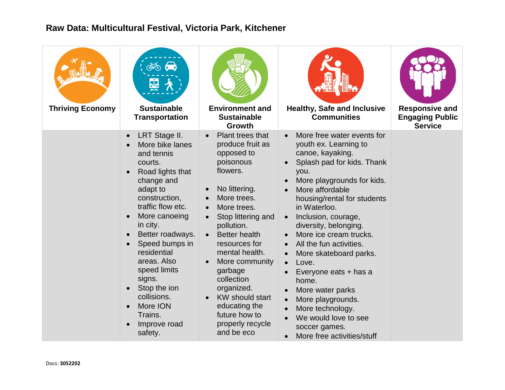| <b>Thriving Economy</b> | $\phi$ $\phi$<br>函<br><b>Sustainable</b><br><b>Transportation</b>                                                                                                                                                                                                                                                                                         | <b>Environment and</b><br><b>Sustainable</b><br><b>Growth</b>                                                                                                                                                                                                                                                                                                                    | <b>Healthy, Safe and Inclusive</b><br><b>Communities</b>                                                                                                                                                                                                                                                                                                                                                                                                                                                                                                                                                               | <b>Responsive and</b><br><b>Engaging Public</b><br><b>Service</b> |
|-------------------------|-----------------------------------------------------------------------------------------------------------------------------------------------------------------------------------------------------------------------------------------------------------------------------------------------------------------------------------------------------------|----------------------------------------------------------------------------------------------------------------------------------------------------------------------------------------------------------------------------------------------------------------------------------------------------------------------------------------------------------------------------------|------------------------------------------------------------------------------------------------------------------------------------------------------------------------------------------------------------------------------------------------------------------------------------------------------------------------------------------------------------------------------------------------------------------------------------------------------------------------------------------------------------------------------------------------------------------------------------------------------------------------|-------------------------------------------------------------------|
|                         | LRT Stage II.<br>More bike lanes<br>and tennis<br>courts.<br>Road lights that<br>change and<br>adapt to<br>construction,<br>traffic flow etc.<br>More canoeing<br>in city.<br>Better roadways.<br>Speed bumps in<br>residential<br>areas. Also<br>speed limits<br>signs.<br>Stop the ion<br>collisions.<br>More ION<br>Trains.<br>Improve road<br>safety. | Plant trees that<br>produce fruit as<br>opposed to<br>poisonous<br>flowers.<br>No littering.<br>More trees.<br>More trees.<br>Stop littering and<br>pollution.<br><b>Better health</b><br>resources for<br>mental health.<br>More community<br>garbage<br>collection<br>organized.<br><b>KW</b> should start<br>educating the<br>future how to<br>properly recycle<br>and be eco | More free water events for<br>youth ex. Learning to<br>canoe, kayaking.<br>Splash pad for kids. Thank<br>you.<br>More playgrounds for kids.<br>More affordable<br>$\bullet$<br>housing/rental for students<br>in Waterloo.<br>Inclusion, courage,<br>$\bullet$<br>diversity, belonging.<br>More ice cream trucks.<br>All the fun activities.<br>$\bullet$<br>More skateboard parks.<br>$\bullet$<br>Love.<br>$\bullet$<br>Everyone eats + has a<br>home.<br>More water parks<br>More playgrounds.<br>$\bullet$<br>More technology.<br>We would love to see<br>soccer games.<br>More free activities/stuff<br>$\bullet$ |                                                                   |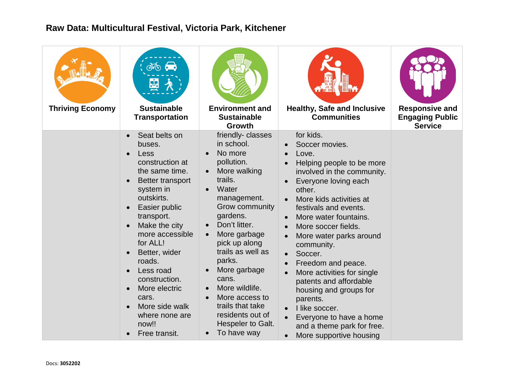| <b>Thriving Economy</b> | $\phi$ $\phi$<br>嵒<br><b>Sustainable</b><br><b>Transportation</b>                                                                                                                                                                                                                                                                                   | <b>Environment and</b><br><b>Sustainable</b><br>Growth                                                                                                                                                                                                                                                                                                                                       | <b>Healthy, Safe and Inclusive</b><br><b>Communities</b>                                                                                                                                                                                                                                                                                                                                                                                                                                                                                                                                                       | <b>Responsive and</b><br><b>Engaging Public</b><br><b>Service</b> |
|-------------------------|-----------------------------------------------------------------------------------------------------------------------------------------------------------------------------------------------------------------------------------------------------------------------------------------------------------------------------------------------------|----------------------------------------------------------------------------------------------------------------------------------------------------------------------------------------------------------------------------------------------------------------------------------------------------------------------------------------------------------------------------------------------|----------------------------------------------------------------------------------------------------------------------------------------------------------------------------------------------------------------------------------------------------------------------------------------------------------------------------------------------------------------------------------------------------------------------------------------------------------------------------------------------------------------------------------------------------------------------------------------------------------------|-------------------------------------------------------------------|
|                         | Seat belts on<br>buses.<br>Less<br>construction at<br>the same time.<br>Better transport<br>system in<br>outskirts.<br>Easier public<br>transport.<br>Make the city<br>more accessible<br>for ALL!<br>Better, wider<br>roads.<br>Less road<br>construction.<br>More electric<br>cars.<br>More side walk<br>where none are<br>now!!<br>Free transit. | friendly-classes<br>in school.<br>No more<br>$\bullet$<br>pollution.<br>More walking<br>trails.<br>Water<br>$\bullet$<br>management.<br>Grow community<br>gardens.<br>Don't litter.<br>More garbage<br>pick up along<br>trails as well as<br>parks.<br>More garbage<br>cans.<br>More wildlife.<br>More access to<br>trails that take<br>residents out of<br>Hespeler to Galt.<br>To have way | for kids.<br>Soccer movies.<br>Love.<br>$\bullet$<br>Helping people to be more<br>involved in the community.<br>Everyone loving each<br>other.<br>More kids activities at<br>festivals and events.<br>More water fountains.<br>$\bullet$<br>More soccer fields.<br>$\bullet$<br>More water parks around<br>$\bullet$<br>community.<br>Soccer.<br>$\bullet$<br>Freedom and peace.<br>More activities for single<br>$\bullet$<br>patents and affordable<br>housing and groups for<br>parents.<br>I like soccer.<br>Everyone to have a home<br>and a theme park for free.<br>More supportive housing<br>$\bullet$ |                                                                   |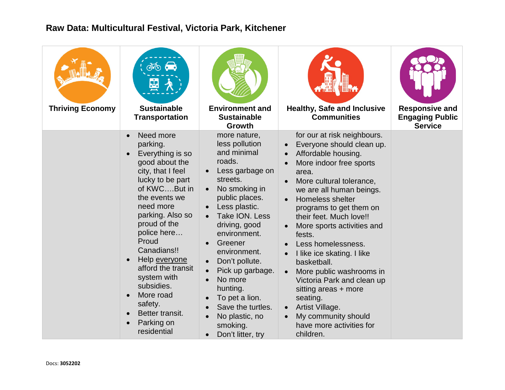| <b>Thriving Economy</b> | $\phi$ $\phi$<br>嵒<br><b>Sustainable</b><br><b>Transportation</b>                                                                                                                                                                                                                                                                                                         | <b>Environment and</b><br><b>Sustainable</b><br><b>Growth</b>                                                                                                                                                                                                                                                                                                                                                          | <b>Healthy, Safe and Inclusive</b><br><b>Communities</b>                                                                                                                                                                                                                                                                                                                                                                                                                                                                                                                                 | <b>Responsive and</b><br><b>Engaging Public</b><br><b>Service</b> |
|-------------------------|---------------------------------------------------------------------------------------------------------------------------------------------------------------------------------------------------------------------------------------------------------------------------------------------------------------------------------------------------------------------------|------------------------------------------------------------------------------------------------------------------------------------------------------------------------------------------------------------------------------------------------------------------------------------------------------------------------------------------------------------------------------------------------------------------------|------------------------------------------------------------------------------------------------------------------------------------------------------------------------------------------------------------------------------------------------------------------------------------------------------------------------------------------------------------------------------------------------------------------------------------------------------------------------------------------------------------------------------------------------------------------------------------------|-------------------------------------------------------------------|
|                         | Need more<br>parking.<br>Everything is so<br>good about the<br>city, that I feel<br>lucky to be part<br>of KWCBut in<br>the events we<br>need more<br>parking. Also so<br>proud of the<br>police here<br>Proud<br>Canadians!!<br>Help everyone<br>afford the transit<br>system with<br>subsidies.<br>More road<br>safety.<br>Better transit.<br>Parking on<br>residential | more nature,<br>less pollution<br>and minimal<br>roads.<br>Less garbage on<br>streets.<br>No smoking in<br>$\bullet$<br>public places.<br>Less plastic.<br>Take ION. Less<br>driving, good<br>environment.<br>Greener<br>$\bullet$<br>environment.<br>Don't pollute.<br>Pick up garbage.<br>No more<br>hunting.<br>To pet a lion.<br>Save the turtles.<br>No plastic, no<br>smoking.<br>Don't litter, try<br>$\bullet$ | for our at risk neighbours.<br>Everyone should clean up.<br>Affordable housing.<br>More indoor free sports<br>area.<br>More cultural tolerance,<br>$\bullet$<br>we are all human beings.<br>Homeless shelter<br>programs to get them on<br>their feet. Much love!!<br>More sports activities and<br>fests.<br>Less homelessness.<br>I like ice skating. I like<br>$\bullet$<br>basketball.<br>More public washrooms in<br>Victoria Park and clean up<br>sitting areas + more<br>seating.<br>Artist Village.<br>$\bullet$<br>My community should<br>have more activities for<br>children. |                                                                   |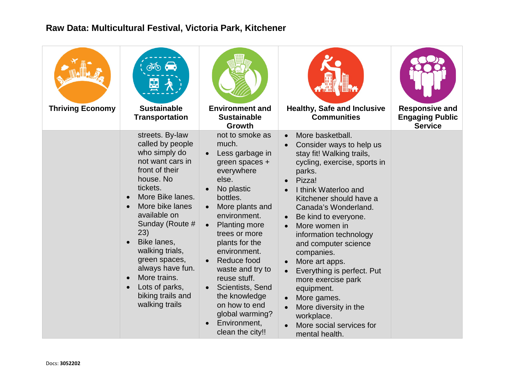| <b>Thriving Economy</b> | $\phi$ $\phi$<br>函<br><b>Sustainable</b><br><b>Transportation</b>                                                                                                                                                                                                                                                                                    | <b>Environment and</b><br><b>Sustainable</b><br><b>Growth</b>                                                                                                                                                                                                                                                                                                                                             | <b>Healthy, Safe and Inclusive</b><br><b>Communities</b>                                                                                                                                                                                                                                                                                                                                                                                                                                                  | <b>Responsive and</b><br><b>Engaging Public</b><br><b>Service</b> |
|-------------------------|------------------------------------------------------------------------------------------------------------------------------------------------------------------------------------------------------------------------------------------------------------------------------------------------------------------------------------------------------|-----------------------------------------------------------------------------------------------------------------------------------------------------------------------------------------------------------------------------------------------------------------------------------------------------------------------------------------------------------------------------------------------------------|-----------------------------------------------------------------------------------------------------------------------------------------------------------------------------------------------------------------------------------------------------------------------------------------------------------------------------------------------------------------------------------------------------------------------------------------------------------------------------------------------------------|-------------------------------------------------------------------|
|                         | streets. By-law<br>called by people<br>who simply do<br>not want cars in<br>front of their<br>house. No<br>tickets.<br>More Bike lanes.<br>More bike lanes<br>available on<br>Sunday (Route #<br>23)<br>Bike lanes,<br>walking trials,<br>green spaces,<br>always have fun.<br>More trains.<br>Lots of parks,<br>biking trails and<br>walking trails | not to smoke as<br>much.<br>Less garbage in<br>green spaces +<br>everywhere<br>else.<br>No plastic<br>bottles.<br>More plants and<br>environment.<br><b>Planting more</b><br>trees or more<br>plants for the<br>environment.<br>Reduce food<br>$\bullet$<br>waste and try to<br>reuse stuff.<br>Scientists, Send<br>the knowledge<br>on how to end<br>global warming?<br>Environment,<br>clean the city!! | More basketball.<br>Consider ways to help us<br>stay fit! Walking trails,<br>cycling, exercise, sports in<br>parks.<br>Pizza!<br>I think Waterloo and<br>Kitchener should have a<br>Canada's Wonderland.<br>Be kind to everyone.<br>More women in<br>information technology<br>and computer science<br>companies.<br>More art apps.<br>Everything is perfect. Put<br>more exercise park<br>equipment.<br>More games.<br>More diversity in the<br>workplace.<br>More social services for<br>mental health. |                                                                   |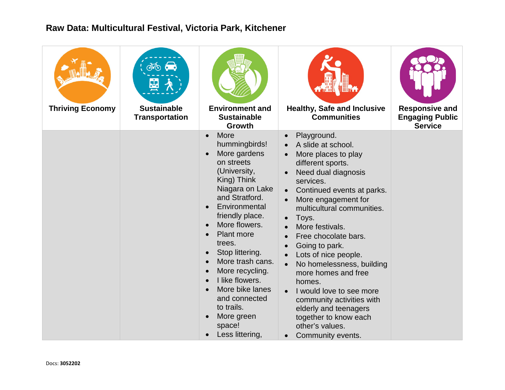| <b>Thriving Economy</b> | கூ க<br>뛎<br><b>Sustainable</b><br><b>Transportation</b> | <b>Environment and</b><br><b>Sustainable</b><br>Growth                                                                                                                                                                                                                                                                                                                                                                                                                                 | <b>Healthy, Safe and Inclusive</b><br><b>Communities</b>                                                                                                                                                                                                                                                                                                                                                                                                                                                                                                                                                       | <b>Responsive and</b><br><b>Engaging Public</b><br><b>Service</b> |
|-------------------------|----------------------------------------------------------|----------------------------------------------------------------------------------------------------------------------------------------------------------------------------------------------------------------------------------------------------------------------------------------------------------------------------------------------------------------------------------------------------------------------------------------------------------------------------------------|----------------------------------------------------------------------------------------------------------------------------------------------------------------------------------------------------------------------------------------------------------------------------------------------------------------------------------------------------------------------------------------------------------------------------------------------------------------------------------------------------------------------------------------------------------------------------------------------------------------|-------------------------------------------------------------------|
|                         |                                                          | More<br>$\bullet$<br>hummingbirds!<br>More gardens<br>$\bullet$<br>on streets<br>(University,<br>King) Think<br>Niagara on Lake<br>and Stratford.<br>Environmental<br>friendly place.<br>More flowers.<br>$\bullet$<br>Plant more<br>trees.<br>Stop littering.<br>$\bullet$<br>More trash cans.<br>$\bullet$<br>More recycling.<br>$\bullet$<br>I like flowers.<br>$\bullet$<br>More bike lanes<br>and connected<br>to trails.<br>More green<br>$\bullet$<br>space!<br>Less littering, | Playground.<br>$\bullet$<br>A slide at school.<br>More places to play<br>different sports.<br>Need dual diagnosis<br>services.<br>Continued events at parks.<br>More engagement for<br>multicultural communities.<br>Toys.<br>$\bullet$<br>More festivals.<br>$\bullet$<br>Free chocolate bars.<br>$\bullet$<br>Going to park.<br>$\bullet$<br>Lots of nice people.<br>No homelessness, building<br>$\bullet$<br>more homes and free<br>homes.<br>I would love to see more<br>community activities with<br>elderly and teenagers<br>together to know each<br>other's values.<br>Community events.<br>$\bullet$ |                                                                   |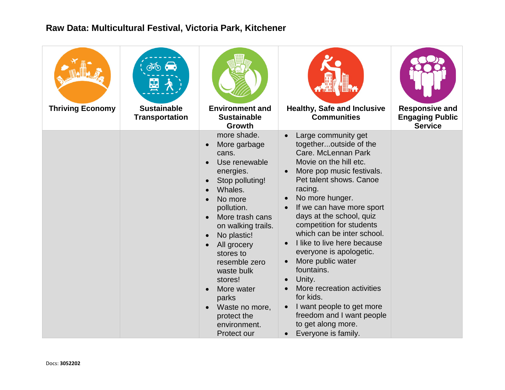| <b>Thriving Economy</b> | $\phi$ $\phi$<br>Ľ<br><b>Sustainable</b><br><b>Transportation</b> | <b>Environment and</b><br><b>Sustainable</b><br><b>Growth</b>                                                                                                                                                                                                                                                                                                                                      | <b>Healthy, Safe and Inclusive</b><br><b>Communities</b>                                                                                                                                                                                                                                                                                                                                                                                                                                                                                                                                   | <b>Responsive and</b><br><b>Engaging Public</b><br><b>Service</b> |
|-------------------------|-------------------------------------------------------------------|----------------------------------------------------------------------------------------------------------------------------------------------------------------------------------------------------------------------------------------------------------------------------------------------------------------------------------------------------------------------------------------------------|--------------------------------------------------------------------------------------------------------------------------------------------------------------------------------------------------------------------------------------------------------------------------------------------------------------------------------------------------------------------------------------------------------------------------------------------------------------------------------------------------------------------------------------------------------------------------------------------|-------------------------------------------------------------------|
|                         |                                                                   | more shade.<br>More garbage<br>$\bullet$<br>cans.<br>Use renewable<br>energies.<br>Stop polluting!<br>$\bullet$<br>Whales.<br>No more<br>pollution.<br>More trash cans<br>on walking trails.<br>No plastic!<br>$\bullet$<br>All grocery<br>$\bullet$<br>stores to<br>resemble zero<br>waste bulk<br>stores!<br>More water<br>parks<br>Waste no more,<br>protect the<br>environment.<br>Protect our | Large community get<br>togetheroutside of the<br>Care. McLennan Park<br>Movie on the hill etc.<br>More pop music festivals.<br>Pet talent shows. Canoe<br>racing.<br>No more hunger.<br>If we can have more sport<br>days at the school, quiz<br>competition for students<br>which can be inter school.<br>I like to live here because<br>everyone is apologetic.<br>More public water<br>fountains.<br>Unity.<br>$\bullet$<br>More recreation activities<br>for kids.<br>I want people to get more<br>freedom and I want people<br>to get along more.<br>Everyone is family.<br>$\bullet$ |                                                                   |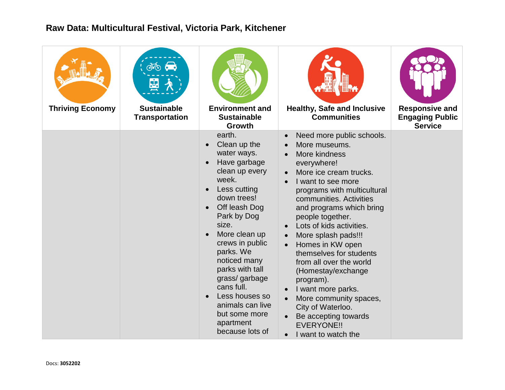| <b>Thriving Economy</b> | $\phi$ $\phi$<br>뎦<br><b>Sustainable</b><br><b>Transportation</b> | <b>Environment and</b><br><b>Sustainable</b><br>Growth                                                                                                                                                                                                                                                                                                             | <b>Healthy, Safe and Inclusive</b><br><b>Communities</b>                                                                                                                                                                                                                                                                                                                                                                                                                                                                                                                             | <b>Responsive and</b><br><b>Engaging Public</b><br><b>Service</b> |
|-------------------------|-------------------------------------------------------------------|--------------------------------------------------------------------------------------------------------------------------------------------------------------------------------------------------------------------------------------------------------------------------------------------------------------------------------------------------------------------|--------------------------------------------------------------------------------------------------------------------------------------------------------------------------------------------------------------------------------------------------------------------------------------------------------------------------------------------------------------------------------------------------------------------------------------------------------------------------------------------------------------------------------------------------------------------------------------|-------------------------------------------------------------------|
|                         |                                                                   | earth.<br>Clean up the<br>water ways.<br>Have garbage<br>clean up every<br>week.<br>Less cutting<br>down trees!<br>Off leash Dog<br>Park by Dog<br>size.<br>More clean up<br>crews in public<br>parks. We<br>noticed many<br>parks with tall<br>grass/garbage<br>cans full.<br>Less houses so<br>animals can live<br>but some more<br>apartment<br>because lots of | Need more public schools.<br>$\bullet$<br>More museums.<br>More kindness<br>everywhere!<br>More ice cream trucks.<br>I want to see more<br>programs with multicultural<br>communities. Activities<br>and programs which bring<br>people together.<br>Lots of kids activities.<br>More splash pads!!!<br>$\bullet$<br>Homes in KW open<br>themselves for students<br>from all over the world<br>(Homestay/exchange<br>program).<br>I want more parks.<br>More community spaces,<br>City of Waterloo.<br>Be accepting towards<br><b>EVERYONE!!</b><br>I want to watch the<br>$\bullet$ |                                                                   |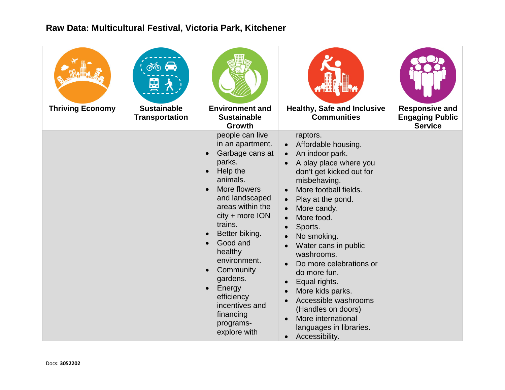| <b>Thriving Economy</b> | $\infty$<br>函<br><b>Sustainable</b><br><b>Transportation</b> | <b>Environment and</b><br><b>Sustainable</b><br><b>Growth</b>                                                                                                                                                                                                                                                                                                                | ¶§Ƙ<br><b>ALTHUR</b><br><b>Healthy, Safe and Inclusive</b><br><b>Communities</b>                                                                                                                                                                                                                                                                                                                                                                                                                                                                                             | <b>Responsive and</b><br><b>Engaging Public</b><br><b>Service</b> |
|-------------------------|--------------------------------------------------------------|------------------------------------------------------------------------------------------------------------------------------------------------------------------------------------------------------------------------------------------------------------------------------------------------------------------------------------------------------------------------------|------------------------------------------------------------------------------------------------------------------------------------------------------------------------------------------------------------------------------------------------------------------------------------------------------------------------------------------------------------------------------------------------------------------------------------------------------------------------------------------------------------------------------------------------------------------------------|-------------------------------------------------------------------|
|                         |                                                              | people can live<br>in an apartment.<br>Garbage cans at<br>parks.<br>Help the<br>animals.<br>More flowers<br>and landscaped<br>areas within the<br>city + more ION<br>trains.<br>Better biking.<br>Good and<br>healthy<br>environment.<br>Community<br>$\bullet$<br>gardens.<br>Energy<br>$\bullet$<br>efficiency<br>incentives and<br>financing<br>programs-<br>explore with | raptors.<br>Affordable housing.<br>$\bullet$<br>An indoor park.<br>$\bullet$<br>A play place where you<br>don't get kicked out for<br>misbehaving.<br>More football fields.<br>$\bullet$<br>Play at the pond.<br>$\bullet$<br>More candy.<br>More food.<br>Sports.<br>No smoking.<br>Water cans in public<br>$\bullet$<br>washrooms.<br>Do more celebrations or<br>do more fun.<br>Equal rights.<br>More kids parks.<br>$\bullet$<br>Accessible washrooms<br>$\bullet$<br>(Handles on doors)<br>More international<br>languages in libraries.<br>Accessibility.<br>$\bullet$ |                                                                   |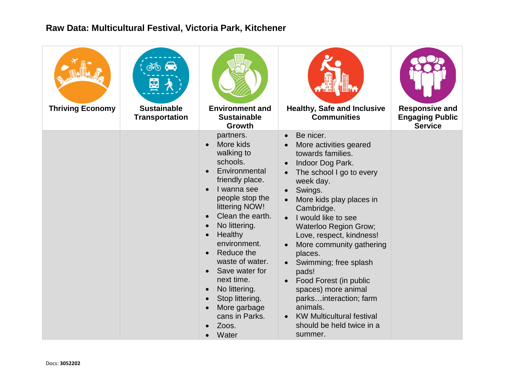| <b>Thriving Economy</b> | $\phi$ $\phi$<br>뛎<br><b>Sustainable</b><br><b>Transportation</b> | <b>Environment and</b><br><b>Sustainable</b><br>Growth                                                                                                                                                                                                                                                                                                                                                                | <b>Healthy, Safe and Inclusive</b><br><b>Communities</b>                                                                                                                                                                                                                                                                                                                                                                                                                                                                                               | <b>Responsive and</b><br><b>Engaging Public</b><br><b>Service</b> |
|-------------------------|-------------------------------------------------------------------|-----------------------------------------------------------------------------------------------------------------------------------------------------------------------------------------------------------------------------------------------------------------------------------------------------------------------------------------------------------------------------------------------------------------------|--------------------------------------------------------------------------------------------------------------------------------------------------------------------------------------------------------------------------------------------------------------------------------------------------------------------------------------------------------------------------------------------------------------------------------------------------------------------------------------------------------------------------------------------------------|-------------------------------------------------------------------|
|                         |                                                                   | partners.<br>More kids<br>walking to<br>schools.<br>Environmental<br>friendly place.<br>I wanna see<br>$\bullet$<br>people stop the<br>littering NOW!<br>Clean the earth.<br>No littering.<br>Healthy<br>$\bullet$<br>environment.<br>Reduce the<br>$\bullet$<br>waste of water.<br>Save water for<br>next time.<br>No littering.<br>$\bullet$<br>Stop littering.<br>More garbage<br>cans in Parks.<br>Zoos.<br>Water | Be nicer.<br>$\bullet$<br>More activities geared<br>towards families.<br>Indoor Dog Park.<br>The school I go to every<br>$\bullet$<br>week day.<br>Swings.<br>More kids play places in<br>Cambridge.<br>I would like to see<br>$\bullet$<br>Waterloo Region Grow;<br>Love, respect, kindness!<br>More community gathering<br>$\bullet$<br>places.<br>Swimming; free splash<br>pads!<br>Food Forest (in public<br>spaces) more animal<br>parksinteraction; farm<br>animals.<br><b>KW Multicultural festival</b><br>should be held twice in a<br>summer. |                                                                   |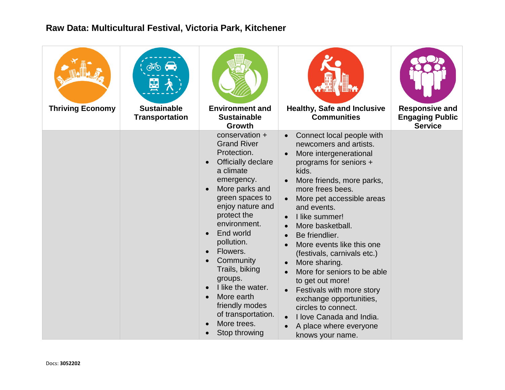| <b>Thriving Economy</b> | $\phi$ $\phi$<br>函<br><b>Sustainable</b><br><b>Transportation</b> | <b>Environment and</b><br><b>Sustainable</b><br><b>Growth</b>                                                                                                                                                                                                                                                                                                                                                             | 情子<br><b>Healthy, Safe and Inclusive</b><br><b>Communities</b>                                                                                                                                                                                                                                                                                                                                                                                                                                                                                                                           | <b>Responsive and</b><br><b>Engaging Public</b><br><b>Service</b> |
|-------------------------|-------------------------------------------------------------------|---------------------------------------------------------------------------------------------------------------------------------------------------------------------------------------------------------------------------------------------------------------------------------------------------------------------------------------------------------------------------------------------------------------------------|------------------------------------------------------------------------------------------------------------------------------------------------------------------------------------------------------------------------------------------------------------------------------------------------------------------------------------------------------------------------------------------------------------------------------------------------------------------------------------------------------------------------------------------------------------------------------------------|-------------------------------------------------------------------|
|                         |                                                                   | conservation +<br><b>Grand River</b><br>Protection.<br><b>Officially declare</b><br>$\bullet$<br>a climate<br>emergency.<br>More parks and<br>$\bullet$<br>green spaces to<br>enjoy nature and<br>protect the<br>environment.<br>End world<br>pollution.<br>Flowers.<br>Community<br>Trails, biking<br>groups.<br>I like the water.<br>More earth<br>friendly modes<br>of transportation.<br>More trees.<br>Stop throwing | Connect local people with<br>newcomers and artists.<br>More intergenerational<br>programs for seniors +<br>kids.<br>More friends, more parks,<br>more frees bees.<br>More pet accessible areas<br>and events.<br>I like summer!<br>More basketball.<br>$\bullet$<br>Be friendlier.<br>More events like this one<br>$\bullet$<br>(festivals, carnivals etc.)<br>More sharing.<br>More for seniors to be able<br>to get out more!<br>Festivals with more story<br>exchange opportunities,<br>circles to connect.<br>I love Canada and India.<br>A place where everyone<br>knows your name. |                                                                   |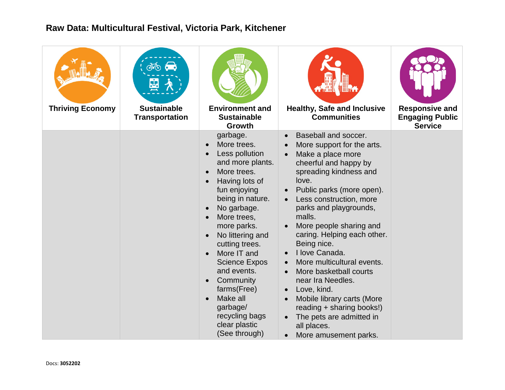| <b>Thriving Economy</b> | ൽ<br><b>Sustainable</b><br><b>Transportation</b> | <b>Environment and</b><br><b>Sustainable</b><br><b>Growth</b>                                                                                                                                                                                                                                                                                                                                                                                                     | <b>Healthy, Safe and Inclusive</b><br><b>Communities</b>                                                                                                                                                                                                                                                                                                                                                                                                                                                                                                                                     | <b>Responsive and</b><br><b>Engaging Public</b><br><b>Service</b> |
|-------------------------|--------------------------------------------------|-------------------------------------------------------------------------------------------------------------------------------------------------------------------------------------------------------------------------------------------------------------------------------------------------------------------------------------------------------------------------------------------------------------------------------------------------------------------|----------------------------------------------------------------------------------------------------------------------------------------------------------------------------------------------------------------------------------------------------------------------------------------------------------------------------------------------------------------------------------------------------------------------------------------------------------------------------------------------------------------------------------------------------------------------------------------------|-------------------------------------------------------------------|
|                         |                                                  | garbage.<br>More trees.<br>$\bullet$<br>Less pollution<br>$\bullet$<br>and more plants.<br>More trees.<br>$\bullet$<br>Having lots of<br>fun enjoying<br>being in nature.<br>No garbage.<br>More trees,<br>$\bullet$<br>more parks.<br>No littering and<br>$\bullet$<br>cutting trees.<br>More IT and<br><b>Science Expos</b><br>and events.<br>Community<br>$\bullet$<br>farms(Free)<br>Make all<br>garbage/<br>recycling bags<br>clear plastic<br>(See through) | Baseball and soccer.<br>$\bullet$<br>More support for the arts.<br>Make a place more<br>cheerful and happy by<br>spreading kindness and<br>love.<br>Public parks (more open).<br>Less construction, more<br>parks and playgrounds,<br>malls.<br>More people sharing and<br>caring. Helping each other.<br>Being nice.<br>I love Canada.<br>More multicultural events.<br>More basketball courts<br>$\bullet$<br>near Ira Needles.<br>Love, kind.<br>Mobile library carts (More<br>reading + sharing books!)<br>The pets are admitted in<br>all places.<br>More amusement parks.<br>$\bullet$ |                                                                   |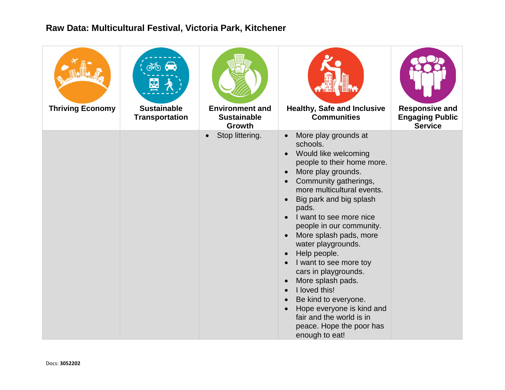| <b>Thriving Economy</b> | $\phi$ $\phi$<br>뛎<br><b>Sustainable</b><br><b>Transportation</b> | <b>Environment and</b><br><b>Sustainable</b><br><b>Growth</b> | <b>Healthy, Safe and Inclusive</b><br><b>Communities</b>                                                                                                                                                                                                                                                                                                                                                                                                                                                                                                                                                                                                      | <b>Responsive and</b><br><b>Engaging Public</b><br><b>Service</b> |
|-------------------------|-------------------------------------------------------------------|---------------------------------------------------------------|---------------------------------------------------------------------------------------------------------------------------------------------------------------------------------------------------------------------------------------------------------------------------------------------------------------------------------------------------------------------------------------------------------------------------------------------------------------------------------------------------------------------------------------------------------------------------------------------------------------------------------------------------------------|-------------------------------------------------------------------|
|                         |                                                                   | Stop littering.<br>$\bullet$                                  | More play grounds at<br>$\bullet$<br>schools.<br>Would like welcoming<br>$\bullet$<br>people to their home more.<br>More play grounds.<br>$\bullet$<br>Community gatherings,<br>$\bullet$<br>more multicultural events.<br>Big park and big splash<br>$\bullet$<br>pads.<br>I want to see more nice<br>$\bullet$<br>people in our community.<br>More splash pads, more<br>$\bullet$<br>water playgrounds.<br>Help people.<br>I want to see more toy<br>cars in playgrounds.<br>More splash pads.<br>I loved this!<br>Be kind to everyone.<br>$\bullet$<br>Hope everyone is kind and<br>fair and the world is in<br>peace. Hope the poor has<br>enough to eat! |                                                                   |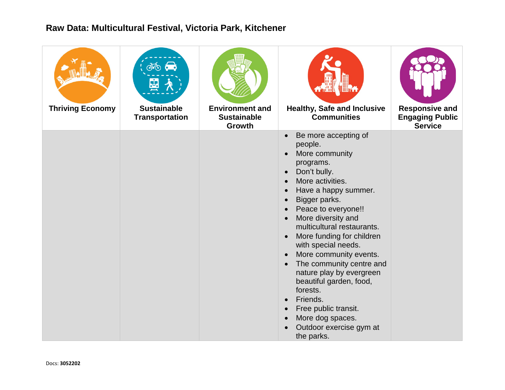| <b>Thriving Economy</b> | $\phi$ $\phi$<br>函<br><b>Sustainable</b><br><b>Transportation</b> | <b>Environment and</b><br><b>Sustainable</b><br>Growth | A THE<br><b>Healthy, Safe and Inclusive</b><br><b>Communities</b>                                                                                                                                                                                                                                                                                                                                                                                                                                                                                                                                                                                                | <b>Responsive and</b><br><b>Engaging Public</b><br><b>Service</b> |
|-------------------------|-------------------------------------------------------------------|--------------------------------------------------------|------------------------------------------------------------------------------------------------------------------------------------------------------------------------------------------------------------------------------------------------------------------------------------------------------------------------------------------------------------------------------------------------------------------------------------------------------------------------------------------------------------------------------------------------------------------------------------------------------------------------------------------------------------------|-------------------------------------------------------------------|
|                         |                                                                   |                                                        | Be more accepting of<br>$\bullet$<br>people.<br>More community<br>$\bullet$<br>programs.<br>Don't bully.<br>$\bullet$<br>More activities.<br>$\bullet$<br>Have a happy summer.<br>$\bullet$<br>Bigger parks.<br>$\bullet$<br>Peace to everyone!!<br>$\bullet$<br>More diversity and<br>$\bullet$<br>multicultural restaurants.<br>More funding for children<br>$\bullet$<br>with special needs.<br>More community events.<br>The community centre and<br>$\bullet$<br>nature play by evergreen<br>beautiful garden, food,<br>forests.<br>Friends.<br>$\bullet$<br>Free public transit.<br>$\bullet$<br>More dog spaces.<br>Outdoor exercise gym at<br>the parks. |                                                                   |